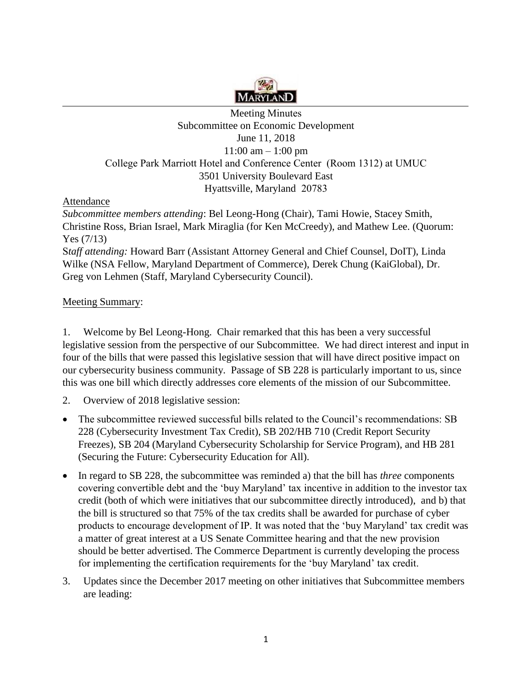

## Meeting Minutes Subcommittee on Economic Development June 11, 2018  $11:00$  am  $-1:00$  pm College Park Marriott Hotel and Conference Center (Room 1312) at UMUC 3501 University Boulevard East Hyattsville, Maryland 20783

Attendance

*Subcommittee members attending*: Bel Leong-Hong (Chair), Tami Howie, Stacey Smith, Christine Ross, Brian Israel, Mark Miraglia (for Ken McCreedy), and Mathew Lee. (Quorum: Yes (7/13)

S*taff attending:* Howard Barr (Assistant Attorney General and Chief Counsel, DoIT), Linda Wilke (NSA Fellow, Maryland Department of Commerce), Derek Chung (KaiGlobal), Dr. Greg von Lehmen (Staff, Maryland Cybersecurity Council).

## Meeting Summary:

1. Welcome by Bel Leong-Hong. Chair remarked that this has been a very successful legislative session from the perspective of our Subcommittee. We had direct interest and input in four of the bills that were passed this legislative session that will have direct positive impact on our cybersecurity business community. Passage of SB 228 is particularly important to us, since this was one bill which directly addresses core elements of the mission of our Subcommittee.

- 2. Overview of 2018 legislative session:
- The subcommittee reviewed successful bills related to the Council's recommendations: SB 228 (Cybersecurity Investment Tax Credit), SB 202/HB 710 (Credit Report Security Freezes), SB 204 (Maryland Cybersecurity Scholarship for Service Program), and HB 281 (Securing the Future: Cybersecurity Education for All).
- credit (both of which were initiatives that our subcommittee directly introduced), and b) that • In regard to SB 228, the subcommittee was reminded a) that the bill has *three* components covering convertible debt and the 'buy Maryland' tax incentive in addition to the investor tax the bill is structured so that 75% of the tax credits shall be awarded for purchase of cyber products to encourage development of IP. It was noted that the 'buy Maryland' tax credit was a matter of great interest at a US Senate Committee hearing and that the new provision should be better advertised. The Commerce Department is currently developing the process for implementing the certification requirements for the 'buy Maryland' tax credit.
- 3. Updates since the December 2017 meeting on other initiatives that Subcommittee members are leading: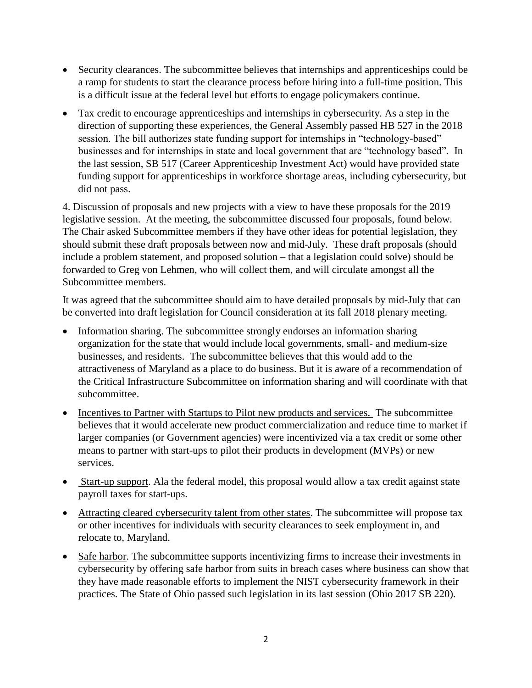- Security clearances. The subcommittee believes that internships and apprenticeships could be a ramp for students to start the clearance process before hiring into a full-time position. This is a difficult issue at the federal level but efforts to engage policymakers continue.
- Tax credit to encourage apprenticeships and internships in cybersecurity. As a step in the direction of supporting these experiences, the General Assembly passed HB 527 in the 2018 session. The bill authorizes state funding support for internships in "technology-based" businesses and for internships in state and local government that are "technology based". In the last session, SB 517 (Career Apprenticeship Investment Act) would have provided state funding support for apprenticeships in workforce shortage areas, including cybersecurity, but did not pass.

 legislative session. At the meeting, the subcommittee discussed four proposals, found below. 4. Discussion of proposals and new projects with a view to have these proposals for the 2019 The Chair asked Subcommittee members if they have other ideas for potential legislation, they should submit these draft proposals between now and mid-July. These draft proposals (should include a problem statement, and proposed solution – that a legislation could solve) should be forwarded to Greg von Lehmen, who will collect them, and will circulate amongst all the Subcommittee members.

It was agreed that the subcommittee should aim to have detailed proposals by mid-July that can be converted into draft legislation for Council consideration at its fall 2018 plenary meeting.

- businesses, and residents. The subcommittee believes that this would add to the • Information sharing. The subcommittee strongly endorses an information sharing organization for the state that would include local governments, small- and medium-size attractiveness of Maryland as a place to do business. But it is aware of a recommendation of the Critical Infrastructure Subcommittee on information sharing and will coordinate with that subcommittee.
- larger companies (or Government agencies) were incentivized via a tax credit or some other • Incentives to Partner with Startups to Pilot new products and services. The subcommittee believes that it would accelerate new product commercialization and reduce time to market if means to partner with start-ups to pilot their products in development (MVPs) or new services.
- Start-up support. Ala the federal model, this proposal would allow a tax credit against state payroll taxes for start-ups.
- Attracting cleared cybersecurity talent from other states. The subcommittee will propose tax or other incentives for individuals with security clearances to seek employment in, and relocate to, Maryland.
- Safe harbor. The subcommittee supports incentivizing firms to increase their investments in cybersecurity by offering safe harbor from suits in breach cases where business can show that they have made reasonable efforts to implement the NIST cybersecurity framework in their practices. The State of Ohio passed such legislation in its last session (Ohio 2017 SB 220).